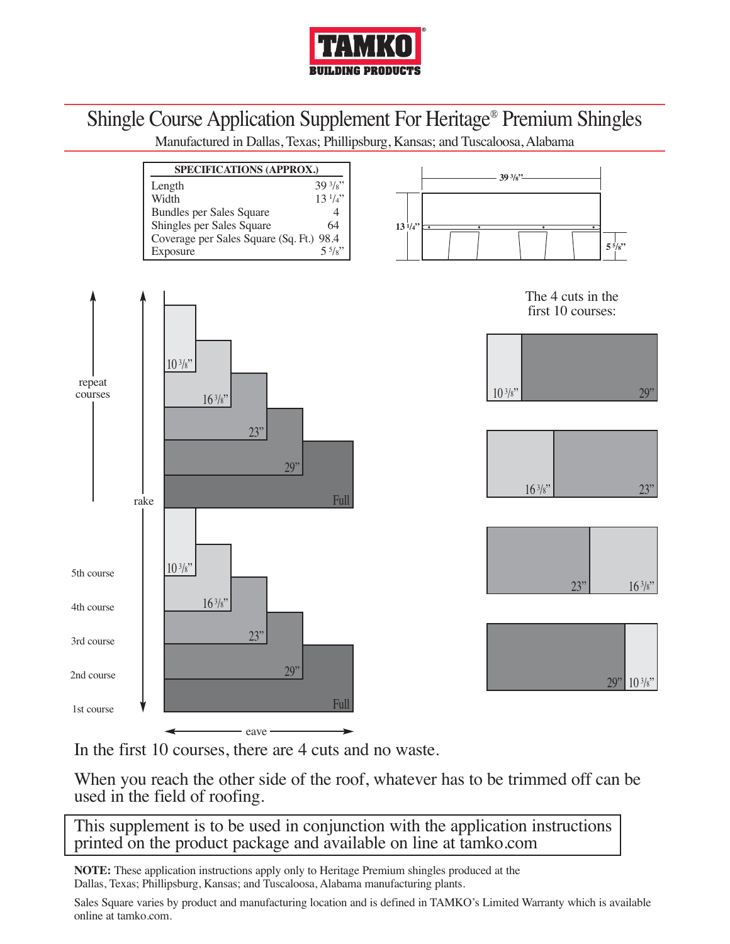

## Shingle Course Application Supplement For Heritage® Premium Shingles

Manufactured in Dallas, Texas; Phillipsburg, Kansas; and Tuscaloosa, Alabama



In the first 10 courses, there are 4 cuts and no waste.

When you reach the other side of the roof, whatever has to be trimmed off can be used in the field of roofing.

This supplement is to be used in conjunction with the application instructions printed on the product package and available on line at tamko.com

**NOTE:** These application instructions apply only to Heritage Premium shingles produced at the Dallas, Texas; Phillipsburg, Kansas; and Tuscaloosa, Alabama manufacturing plants.

Sales Square varies by product and manufacturing location and is defined in TAMKO's Limited Warranty which is available online at tamko.com.